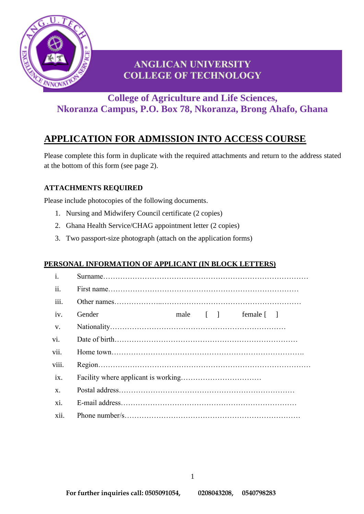

# **ANGLICAN UNIVERSITY COLLEGE OF TECHNOLOGY**

## **College of Agriculture and Life Sciences, Nkoranza Campus, P.O. Box 78, Nkoranza, Brong Ahafo, Ghana**

# **APPLICATION FOR ADMISSION INTO ACCESS COURSE**

Please complete this form in duplicate with the required attachments and return to the address stated at the bottom of this form (see page 2).

### **ATTACHMENTS REQUIRED**

Please include photocopies of the following documents.

- 1. Nursing and Midwifery Council certificate (2 copies)
- 2. Ghana Health Service/CHAG appointment letter (2 copies)
- 3. Two passport-size photograph (attach on the application forms)

### **PERSONAL INFORMATION OF APPLICANT (IN BLOCK LETTERS)**

| $\mathbf{i}$ .  |                                  |
|-----------------|----------------------------------|
| ii.             |                                  |
| iii.            |                                  |
| iv.             | male [ ]<br>Gender<br>female [ ] |
| $V_{\cdot}$     |                                  |
| vi.             |                                  |
| vii.            |                                  |
| viii.           |                                  |
| $i\mathbf{x}$ . |                                  |
| $\mathbf{X}$ .  |                                  |
| xi.             |                                  |
| xii.            |                                  |